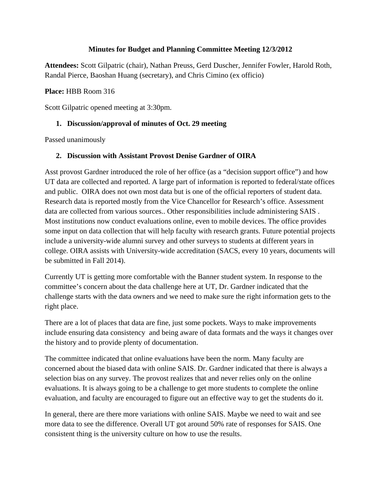#### **Minutes for Budget and Planning Committee Meeting 12/3/2012**

**Attendees:** Scott Gilpatric (chair), Nathan Preuss, Gerd Duscher, Jennifer Fowler, Harold Roth, Randal Pierce, Baoshan Huang (secretary), and Chris Cimino (ex officio)

#### **Place:** HBB Room 316

Scott Gilpatric opened meeting at 3:30pm.

## **1. Discussion/approval of minutes of Oct. 29 meeting**

Passed unanimously

## **2. Discussion with Assistant Provost Denise Gardner of OIRA**

Asst provost Gardner introduced the role of her office (as a "decision support office") and how UT data are collected and reported. A large part of information is reported to federal/state offices and public. OIRA does not own most data but is one of the official reporters of student data. Research data is reported mostly from the Vice Chancellor for Research's office. Assessment data are collected from various sources.. Other responsibilities include administering SAIS . Most institutions now conduct evaluations online, even to mobile devices. The office provides some input on data collection that will help faculty with research grants. Future potential projects include a university-wide alumni survey and other surveys to students at different years in college. OIRA assists with University-wide accreditation (SACS, every 10 years, documents will be submitted in Fall 2014).

Currently UT is getting more comfortable with the Banner student system. In response to the committee's concern about the data challenge here at UT, Dr. Gardner indicated that the challenge starts with the data owners and we need to make sure the right information gets to the right place.

There are a lot of places that data are fine, just some pockets. Ways to make improvements include ensuring data consistency and being aware of data formats and the ways it changes over the history and to provide plenty of documentation.

The committee indicated that online evaluations have been the norm. Many faculty are concerned about the biased data with online SAIS. Dr. Gardner indicated that there is always a selection bias on any survey. The provost realizes that and never relies only on the online evaluations. It is always going to be a challenge to get more students to complete the online evaluation, and faculty are encouraged to figure out an effective way to get the students do it.

In general, there are there more variations with online SAIS. Maybe we need to wait and see more data to see the difference. Overall UT got around 50% rate of responses for SAIS. One consistent thing is the university culture on how to use the results.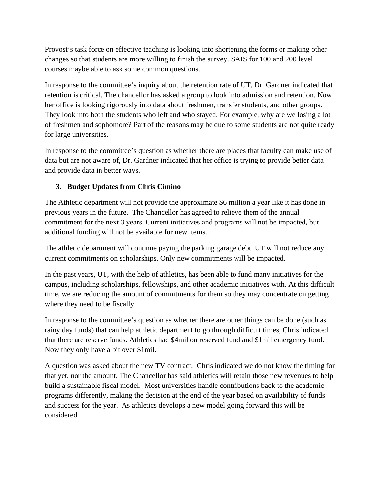Provost's task force on effective teaching is looking into shortening the forms or making other changes so that students are more willing to finish the survey. SAIS for 100 and 200 level courses maybe able to ask some common questions.

In response to the committee's inquiry about the retention rate of UT, Dr. Gardner indicated that retention is critical. The chancellor has asked a group to look into admission and retention. Now her office is looking rigorously into data about freshmen, transfer students, and other groups. They look into both the students who left and who stayed. For example, why are we losing a lot of freshmen and sophomore? Part of the reasons may be due to some students are not quite ready for large universities.

In response to the committee's question as whether there are places that faculty can make use of data but are not aware of, Dr. Gardner indicated that her office is trying to provide better data and provide data in better ways.

# **3. Budget Updates from Chris Cimino**

The Athletic department will not provide the approximate \$6 million a year like it has done in previous years in the future. The Chancellor has agreed to relieve them of the annual commitment for the next 3 years. Current initiatives and programs will not be impacted, but additional funding will not be available for new items..

The athletic department will continue paying the parking garage debt. UT will not reduce any current commitments on scholarships. Only new commitments will be impacted.

In the past years, UT, with the help of athletics, has been able to fund many initiatives for the campus, including scholarships, fellowships, and other academic initiatives with. At this difficult time, we are reducing the amount of commitments for them so they may concentrate on getting where they need to be fiscally.

In response to the committee's question as whether there are other things can be done (such as rainy day funds) that can help athletic department to go through difficult times, Chris indicated that there are reserve funds. Athletics had \$4mil on reserved fund and \$1mil emergency fund. Now they only have a bit over \$1mil.

A question was asked about the new TV contract. Chris indicated we do not know the timing for that yet, nor the amount. The Chancellor has said athletics will retain those new revenues to help build a sustainable fiscal model. Most universities handle contributions back to the academic programs differently, making the decision at the end of the year based on availability of funds and success for the year. As athletics develops a new model going forward this will be considered.